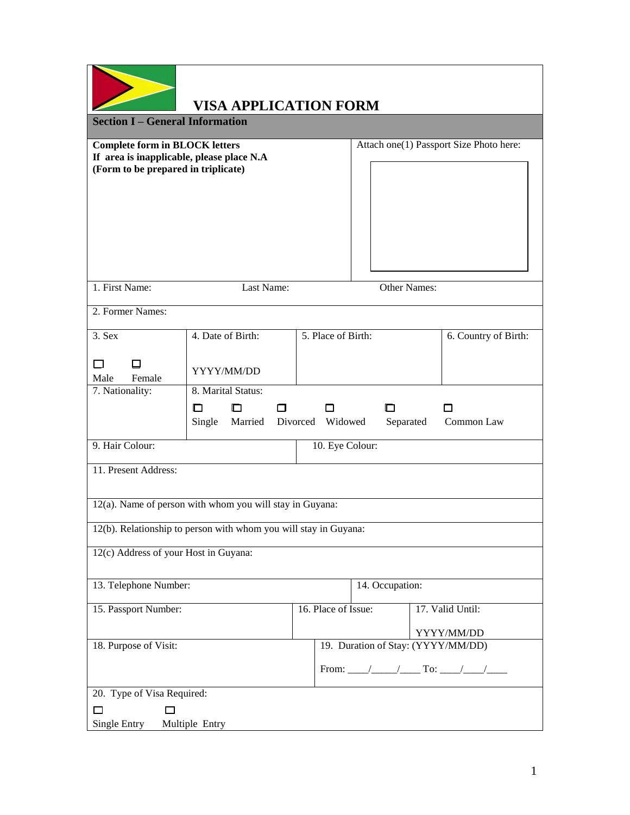|                                                                                                                           | <b>VISA APPLICATION FORM</b>                                             |                     |                                         |                                    |                      |
|---------------------------------------------------------------------------------------------------------------------------|--------------------------------------------------------------------------|---------------------|-----------------------------------------|------------------------------------|----------------------|
| <b>Section I - General Information</b>                                                                                    |                                                                          |                     |                                         |                                    |                      |
| <b>Complete form in BLOCK letters</b><br>If area is inapplicable, please place N.A<br>(Form to be prepared in triplicate) |                                                                          |                     | Attach one(1) Passport Size Photo here: |                                    |                      |
|                                                                                                                           |                                                                          |                     |                                         |                                    |                      |
| 1. First Name:                                                                                                            | Last Name:                                                               |                     |                                         | Other Names:                       |                      |
| 2. Former Names:                                                                                                          |                                                                          |                     |                                         |                                    |                      |
| $3.$ Sex                                                                                                                  | 4. Date of Birth:                                                        | 5. Place of Birth:  |                                         |                                    | 6. Country of Birth: |
| $\mathbf{I}$<br>LI<br>Male<br>Female                                                                                      | YYYY/MM/DD                                                               |                     |                                         |                                    |                      |
| 7. Nationality:                                                                                                           | 8. Marital Status:<br>IП<br>□<br>П<br>Married Divorced Widowed<br>Single | п                   | □                                       | П<br>Separated<br>Common Law       |                      |
| 9. Hair Colour:                                                                                                           |                                                                          |                     | 10. Eye Colour:                         |                                    |                      |
| 11. Present Address:                                                                                                      |                                                                          |                     |                                         |                                    |                      |
|                                                                                                                           | 12(a). Name of person with whom you will stay in Guyana:                 |                     |                                         |                                    |                      |
|                                                                                                                           | 12(b). Relationship to person with whom you will stay in Guyana:         |                     |                                         |                                    |                      |
| 12(c) Address of your Host in Guyana:                                                                                     |                                                                          |                     |                                         |                                    |                      |
| 13. Telephone Number:                                                                                                     |                                                                          |                     | 14. Occupation:                         |                                    |                      |
| 15. Passport Number:                                                                                                      |                                                                          | 16. Place of Issue: |                                         | 17. Valid Until:                   |                      |
|                                                                                                                           |                                                                          |                     |                                         | YYYY/MM/DD                         |                      |
| 18. Purpose of Visit:                                                                                                     |                                                                          |                     |                                         | 19. Duration of Stay: (YYYY/MM/DD) |                      |
|                                                                                                                           |                                                                          |                     |                                         |                                    |                      |
| 20. Type of Visa Required:                                                                                                |                                                                          |                     |                                         |                                    |                      |
| □<br>□<br>Single Entry                                                                                                    | Multiple Entry                                                           |                     |                                         |                                    |                      |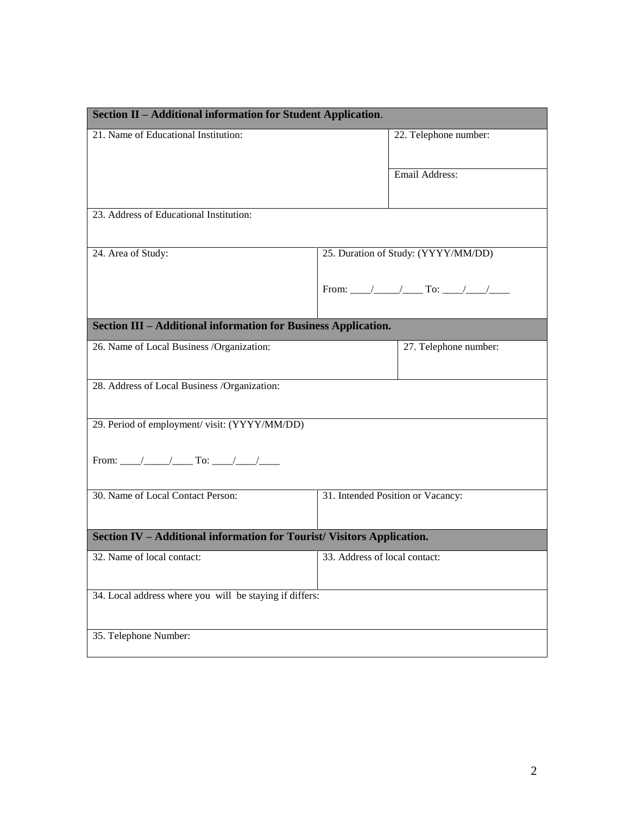| Section II - Additional information for Student Application.           |                               |                                     |  |  |
|------------------------------------------------------------------------|-------------------------------|-------------------------------------|--|--|
| 21. Name of Educational Institution:                                   |                               | 22. Telephone number:               |  |  |
|                                                                        |                               | Email Address:                      |  |  |
| 23. Address of Educational Institution:                                |                               |                                     |  |  |
| 24. Area of Study:                                                     |                               | 25. Duration of Study: (YYYY/MM/DD) |  |  |
| Section III - Additional information for Business Application.         |                               |                                     |  |  |
| 26. Name of Local Business /Organization:                              |                               | 27. Telephone number:               |  |  |
| 28. Address of Local Business /Organization:                           |                               |                                     |  |  |
| 29. Period of employment/visit: (YYYY/MM/DD)                           |                               |                                     |  |  |
|                                                                        |                               |                                     |  |  |
| 30. Name of Local Contact Person:                                      |                               | 31. Intended Position or Vacancy:   |  |  |
| Section IV - Additional information for Tourist/ Visitors Application. |                               |                                     |  |  |
| 32. Name of local contact:                                             | 33. Address of local contact: |                                     |  |  |
| 34. Local address where you will be staying if differs:                |                               |                                     |  |  |
| 35. Telephone Number:                                                  |                               |                                     |  |  |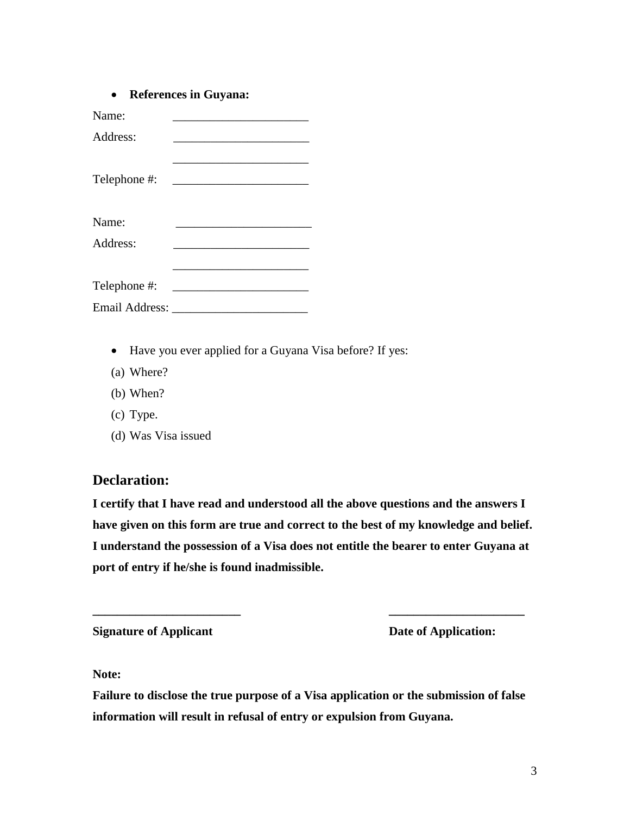|  | <b>References in Guyana:</b> |  |  |
|--|------------------------------|--|--|
|--|------------------------------|--|--|

| Name:                 |                                                                                           |
|-----------------------|-------------------------------------------------------------------------------------------|
| Address:              |                                                                                           |
|                       |                                                                                           |
| Telephone #:          | the control of the control of the control of the control of the control of the control of |
|                       |                                                                                           |
| Name:                 |                                                                                           |
| Address:              |                                                                                           |
|                       |                                                                                           |
| Telephone #:          |                                                                                           |
|                       |                                                                                           |
| <b>Email Address:</b> |                                                                                           |

- Have you ever applied for a Guyana Visa before? If yes:
- (a) Where?
- (b) When?
- (c) Type.
- (d) Was Visa issued

## **Declaration:**

**I certify that I have read and understood all the above questions and the answers I have given on this form are true and correct to the best of my knowledge and belief. I understand the possession of a Visa does not entitle the bearer to enter Guyana at port of entry if he/she is found inadmissible.**

**\_\_\_\_\_\_\_\_\_\_\_\_\_\_\_\_\_\_\_\_\_\_\_\_ \_\_\_\_\_\_\_\_\_\_\_\_\_\_\_\_\_\_\_\_\_\_**

**Signature of Applicant Contract Date of Application:** 

**Note:** 

**Failure to disclose the true purpose of a Visa application or the submission of false information will result in refusal of entry or expulsion from Guyana.**